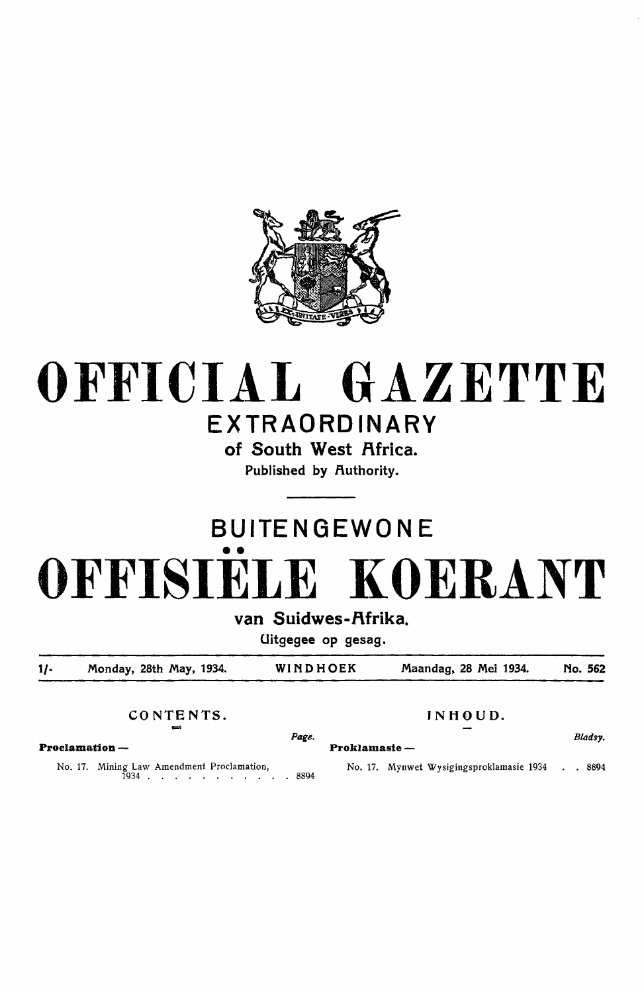

# **OFFICIAL GAZETTE EXTRAORDINARY**

**of South West Africa.**  Published by Authority.

# **BUITENGEWONE**  •• **OFFISIELE KOERANT**

van Suidwes-Afrika.

Uitgegee op gesag.

1/- Monday, 28th May, 1934. WINDHOEK Maandag, 28 Mei 1934. No. 562

CONTENTS. INHOUD.

 $P_{\text{age.}}$  Fin H O U D.<br>Bladsy.

**Proclamation** - **Proklamasie** -

No. 17. Mining Law Amendment Proclamation, 1934 . . . . . . . . . . . 8894 No. 17. Mynwet Wysigingsproklamasie 1934 . . 8894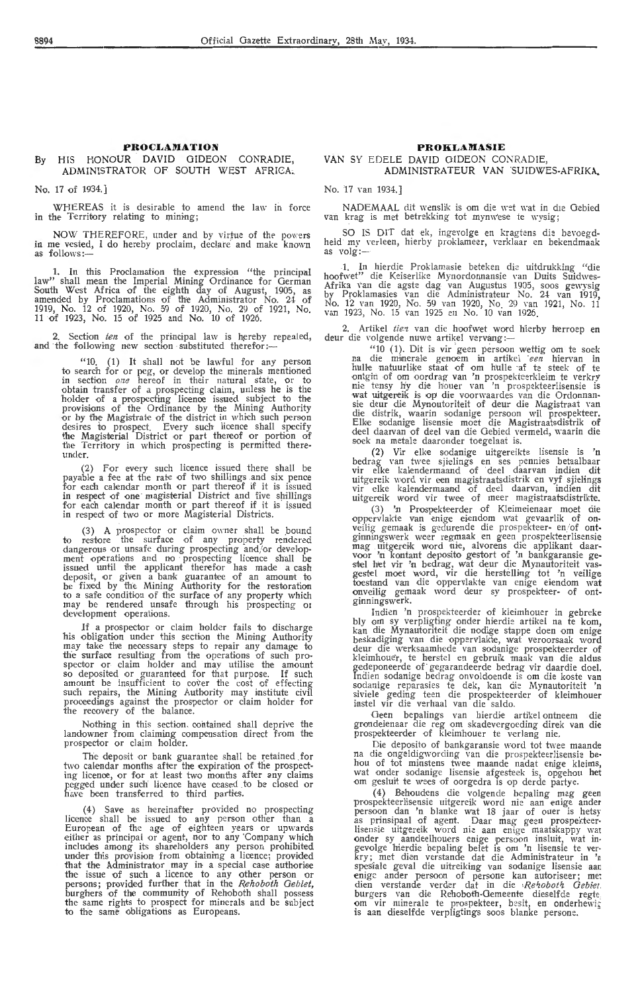#### By HIS HONOUR DAVID GIDEON CONRADIE, ADMINISTRATOR OF SOUTH WEST AFRICA;

No. 17 of 1934.]

WHEREAS it is desirable to amend the law in force in the Territory relating to mining;

NOW THEREFORE, under and by virtue of the powers in me vested, I do hereby proclaim, declare and make known as follows:-

1. In this Proclamation the expression "the principal law" shall mean the Imperial Mining Ordinance for German South West Africa of the eighth day of August, 1905, as amended by Proclamations of the Administrator No. 24- of 1919, No. 12 of 1920, No. 59 of 1920, No. 29 of 1921, No. 11 of 1923, No. 15 of 1925 and No. 10 of 1926.

2. Section ten of the principal law is hereby repealed, and the following new section substituted therefor :-

 $"10$ . (1) It shall not be lawful for any person to search for or peg, or devdop the minerals mentioned in section  $one$  hereof in their natural state, or to obtain transfer of a prospecting claim, unless he is the holder of a prospecting licence issued subject to the provisions of the Ordinance by the Mining Authority or by the Magistrate of the district in which such person desires to prospect. Every such licence shall specify the Magisterial District or part thereof or portion of the Territory in which prospecting is permitted there-<br>under.

(2) For every such licence issued there shall be payable a fee at the rate of two shillings and six pence for each calendar month or part thereof if it is issued in respect of one magisterial District and five shillings for each calendar month or part thereof if it is issued in respect of two or more Magisterial Districts.

(3) A prospector or claim owner shall be bound to restore the surface of any property rendered dangerous or unsafe during prospecting and/or develop-ment operations and no prospecting licence shall be issued until the applicant therefor has made a cash<br>deposit, or given a bank guarantee of an amount to be fixed by the Mining Authority for the restoration<br>to a safe condition of the surface of any property which may be rendered unsafe through his prospecting or development operations.

If a prospector or claim holder fails to discharge his obligation under this section the Mining Authority may take the neressary steps to repair any damage to the surface resulting from the operations of such prospector or claim holder and may utilise the amount so deposited or guaranteed for that purpose. If such amount be insufficient to cover the cost of effecting such repairs, the Mining Authority may institute civil proceedings against the prospector or claim holder for the recovery of the balance.

Nothing in this section, oontained shall deprive the landowner from claiming compensation direct from the prospector or claim holder.

The deposit or bank guarantee shall be retained .for two calendar months after the expiration of the prospecting licence, or for at least two months after any claims pegged under such licence have ceased to be closed or have been transferred to third parties.

(4) Save as hereinafter provided no prospecting<br>licence shall be issued to any person other than licence shall be issued to any person other than a European of the age of eighteen years or upwards either as principal or agent, nor to any 'Company which includes among its shareholders any person prohibited under this provision from obtaining a licence; provided that the Administrator may in a special case authorise the issue of such a licence to any other person or persons; provided further that in the *Rehoboth Gebiet*, burghers of the community of Rehoboth shall possess the same rights to prospect for minerals and be subject to the same obligations as Europeans.

#### **PROKLAMASIE**

#### VAN SY EDELE DAVID GIDEON CONRADIE, ADMINISTRATEUR VAN SUIDWES-AFRIKA.

No. 17 yan 1934.]

NADEMAAL dit wenslik is om die wet wat in die Gebied van krag is met betrekking tot mynwese te wysig ;

SO IS DIT dat ek, ingevolge en kragtens die bevoegdheid my verleen, hierby proklameer, verklaar en bekendmaak<br>as volg:—

1. In hierdie Proklamasie beteken die uitdrukking "die hoofwet" die Keiserlike Mynordonnansie van Duits Suidwes-<br>Afrika van die agste dag van Augustus 1905, soos gewysig by Proklamasies van die Administrateur No. 24- van 1919, No. 12 van 1920, No. 59 van 1920, No. 29 van 1921, No. 11 van 1923, No. 15 van 1925 en No. 10 van 1926.

2. Artikel *tien* van die hoofwet word hierby herroep en deur die volgende nuwe artikel vervang :-

"10 (1). Dit is vir geen persoon wettig om te soek na die minerale genoem in artikel *een* hiervan in hulle natuurlike staat of om h'ulle -af te steek of te ontgim of om oordrag van 'n prospekteerkleim te verkry nie tensy hy die houer van 'n prospekteerlisensie is wat uitgereik is op die voorwaardes van die Ordonnansie deur die Mynoutoriteit of deur die Magistraat van die distrik, waarin sodanige persoon wil prospekteer.<br>Elke sodanige lisensie moet die Magistraatsdistrik of deel daarvan of deel van die Gebied vermeld, waarin die soek na metale daaronder toegelaat is.

(2) **Vir** e!ke soda·nige uitgereikte lisensie is **'n** bedrag van twee sjielings en ses pennies betaalbaar vir elke kalendermaand of deel daarvan indien dit vir elke kalendermaand of deel daarvan indien dit<br>uitgereik word vir een magistraatsdistrik en vyf sjielings<br>vir elke kalendermaand of deei daarvan, indien dit<br>uitgereik word vir twee of meer magistraatsdistrikte. uitgereik word vir twee of meer magistraatsdistrikte.

(3) 'n Prospekteerder of Kleimeienaar moet die oppervlakte van enige eiendom wat gevaarlik of on-<br>veilig gemaak is gedurende die prospekteer- en/of ontginningswerk weer regmaak en geen prospekteerlisensie<br>mag uitgereik word nie, alvorens die applikant daar-<br>voor 'n kontant deposito gestort of 'n bankgaransie ge-<br>stel het vir 'n bedrag, wat deur die Mynautoriteit vas-<br>ges toestand van die oppervlakte van enige eiendom wat onveilig gemaak word deur sy prospekteer- of ontginningswerk.

Indien 'n prospekteerder of kleimhouer in gebreke bly om sy verpligting onder hierdie artikel na te kom, kan die Mynautoriteit die nodige stappe doen om cnig,<br>beskadiging van die oppervlakte, wat veroorsaak word deur die werksaamhede van sodanige prospekteerder of kleimhouer, te herstel en gebruik maak van die aldus gedeponeerde of· gegarandeerde bedrag vir daardie doeL Indien sodanige bedrag onvoldoende is om die koste van sodanige reparasies te dek, kan die Mynautoriteit 'n siviele geding teen die prospekteerder of kleimhouer instel vir die verhaal van die saldo.

Geen bepalings van hierdie artikel ontneem die grondeienaar die reg om skadevergoeding direk van die prospekteerder of kleimhouer te verlang nie.

Die deposito of bankgaransie word tot twee maande na die ongeldigwording van die prospekteerlisensie behou of tot minstens twee maande nadat enige kleims, wat onder sodanige lisensie afgesteek is, opgehou het om gesluit te wees of oorgedra is op derde partye.

(4) Behoudens die volgende bepaling mag geen prospekteerlisensie uitgereik word nie aan enige ander persoon dan 'n blanke wat 18 jaar of ouer is hetsy as prinsipaal of agent. Daar mag geen prospekteerlisensie uitgereik word nie aan enige maatskappy wat onder sy aandeelhouers enige persoon insluit, wat ingevolge hierdie bepaling belet is om 'n lisensie te verkry; met dien verstande dat die Administrateur in 'n spesiale geval die uitreiking van sodanige lisensie aar enige ander persoon of persone kan autoriseer; met dien ve burgers van die Rehoboth-Gemeente dieselfde regte om vir minerale te prospekteer, besit, en onderhewig is aan dieselfde verpligtings soos blanke persone.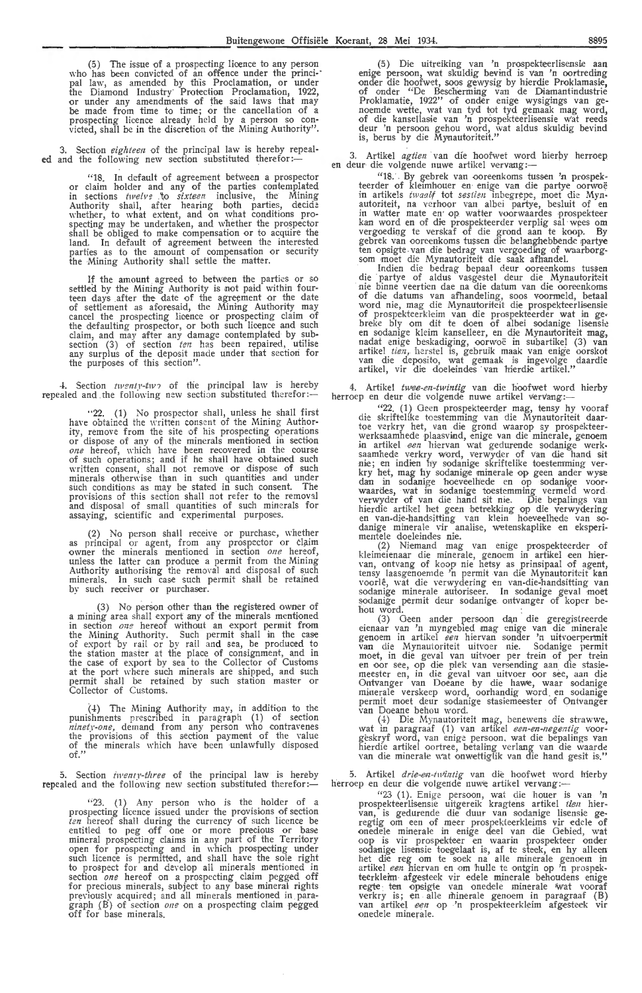Buitengewone Offisië<br>(5) The issue of a prospecting licence to any person who has been convicted of an offence under the princi-· pal law, as amended by this Proclamation, or under the Diamond Industry· Protection Proclamation, 1922, or under any amendments of the said laws that may be made from time to time; or the cancellation of a prospecting licence already held by a person so convicted, shall be in the discretion of the Mining Authority".

3. Section *eighteen* of the principal law is hereby repeal**ed** and the following new section substituted therefor:-

> "18. In default of agreement between a prospector or claim holder and any of the parties contemplated in sections *twelve* to *sixteen* inclusive, the Mining Authority shall, after hearing both parties, decide \\'hether, to what extent, and on what conditions prospecting may be undertaken, and whether the prospector shall be obliged to make compensation or to acquire the land. In default of agreement between the interested<br>parties as to the amount of compensation or security the Mining Authority shall settle the matter.

> If the amount agreed to between the parties or so settled by the Mining Authority is not paid within fourteen days after the date of the agreement or the date of settlement as aforesaid, the Mining Authority may cancel the prospecting lieence or prospecting claim of the defaulting prospector, or both such licence and such claim, and may after any damage contemplated by sub-<br>section (3) of section *ten* has been repaired, utilise any surplus of the deposit made under that section for the purposes of this section".

4. Section  $twenity-tw \rightarrow of$  the principal law is hereby repealed and the following new section substituted therefor :-

"22. (1) No prospector shall, unless he shall first have obtained the written consent of the Mining Authority, remove from the site of his prospecting operations or dispose of any of the minerals mentioned in section one hereof, which have been recovered in the course of such operations; and if he shall have obtained such written consent, shall not remove or dispose of such minerals otherwise than in such quantities and under such conditions as may be stated in such consent. The provisions of this section shall not refer to the removal and disposal of small quantities of such minerals for assaying, scientific and experimental purposes.

(2) No person shall receive or purchase, whether<br>as principal or agent, from any prospector or claim owner the minerals mentioned in section one hereof, unless the latter can produce a permit from the Mining Authority authorising the removal and disposal of such minerals. In such case such permit shall be retained by such receiver or purchaser.

(3) No pers-on other than the registered owner of a mining area shall export a:ny of the minerals mentioned in section  $one$  hereof without an export permit from the Mining Authority. Such permit shall in the case of export by rail or by rail and sea, be produced to the station master at the place of consignment, and in the case of export by sea to the Collector of Customs at the port where such minerals are shipped, and such permit shall be retained by such station master or Collector of Customs.

 $(4)$  The Mining Authority may, in addition to the punishments prescribed in paragraph (1) of section *ninety-one*, demand from any person who contravenes<br>the provisions of this section payment of the value of the minerals which have been unlawfully disposed of."

5. Section *iwenty-three* of the principal law is hereby repealed and the following new section substituted therefor:-

 $f(23. (1)$  Any person who is the holder of a prospecting licence issued under the provisions of section ten hereof shall during the currency of such licence be entitled to peg off one or more precious or base mineral prospecting claims in any part of the Territory open for prospecting and in which prospecting under such licence is permitted, and shall have the sole right to prospect for and develop all minerals mentioned in section one hereof on a prospecting claim pegged off for precious minerals, subject to any base mineral rights previously acquired; and all minerals mentioned in paragraph  $(B)$  of section one on a prospecting claim pegged off for base minerals.

(5) Die uitreiking van 'n prospekteerlisensie aan enige persoon, wat skuldig bevind is van 'n oortreding<br>onder die hoofwet, soos gewysig by hierdie Proklamasie, of onder "De Bescherming van de Diamantindustrie Proklamatie, 1922" of onder enige wysigings van genoemde wette, wat van tyd tot tyd gemaak mag word, of die kansellasie van 'n prospekteerlisensie wat reeds deur 'n persoon gehou word, wat aldus skuldig bevind is, berus by die Mynautoriteit."

Artikel agtien van die hoofwet word hierby herroep. en deur die volgende nuwe artikel vervang :-

"18. By gebrek van ooreenkoms tussen 'n prospekteerder of kleimhouer en enige van die partye oorwoë in artikels twaalf tot sestien inbegrepe, moet die Mynautoriteit, na verhoor van albei partye, besluit of en in watter mate en op. watter voorwaardes prospekteer kan word en of die prospekteerder verplig sal wees om<br>vergoeding te verskaf of die grond aan te koop. By gebrek van ooreenkoms tussen die belanghebbende partye ten opsigte van die bedrag van vergoeding of waarborgsom moet die Mynautoriteit die saak afhandel.

Indien die bedrag bepaal deur ooreenkoms tussen die partye of aldus vasgestel deur die Mynautoriteit nie binne veertien dae na die datum van die ooreenkoms of die datums van afhandeling, soos voormeld, betaal word nie, mag die Mynautoriteit die prospekteerlisensie of prospekteerkleim van die prospekteerder wat in gebreke bly om dit te doen of albei sodanige lisensie en sodanige kleim kanselleer, en die Mynautoriteit mag, nadat enige beskadiging, oorwoë in subartikel (3) van<br>artikel *tien,* herstel is, gebruik maak van enige oorskot<br>van die deposito, wat gemaak is ingevolge daardie artikel, vir die doeleindes van hierdie artikel."

4. Artikel twee-en-twintig van die hoofwet word hierby herroep en deur die volgende nuwe artikel vervang:-

"22. (1) Oeen prospekteerder mag, tensy hy vooraf die skriftelike toestemming van die Mynautoriteit daartoe verkry het, van die grond waarop sy prospekteerwerksaamhede plaasvind, enige van die minerale, genoem in artikel een hiervan wat gedurende sodanige werksaamhede verkry word, verwyder of van die hand sit nie; en indien hy sodanige skriftelike toestemming ver-<br>kry het, mag hy sodanige minerale op geen ander wyse dan in sodanige hoeveelhede en op sodanige voor-<br>waardes, wat in sodanige toestemming vermeld word<br>verwyder of van die hand sit nie. Die bepalings van<br>hierdie artikel het geen betrekking op die verwydering en van-die-handsitting van klein hoeveelhede van so-<br>danige minerale vir analise, wetenskaplike en eksperi-

mentele doeleindes nie. (2) Niemand mag van enige prospekteerder of kleimeienaar die minerale, genoem in artikel een hier-nn, ontvang of koop nie hetsy as prinsipaal of agent, tensy laasgenoemde 'n permit van die Mynautoriteit kan voorle, wat die verwydering en van-die-handsitting van sodanige minerale autoriseer. In sodanige geval moet sodanige permit deur sodanige ontvanger of koper behou word.

(3) Geen ander persoon dan die geregistreerde eienaar van 'n myngebied mag enige van die minerale genoem in artikel *een* hiervan sonder 'n uitvoerpermit<br>van die Mynautoriteit uitvoer nie. Sodanige permit moet, in die geval van uitvoer per trein of per trein<br>en oor see, op die plek van versending aan die stasie-<br>meester en, in die geval van uitvoer oor see, aan die Ontvanger van Doeane by die hawe, waar sodanige minerale verskeep word, oorhandig word\_ en sodanige permit moet deur sodanige stasiemeester of Ontvanger \'an Doeane behou word.

(4) Die Mynautoriteit mag, benewens die strawwe, wat in paragraaf (1) van artikel *een-en-negentig* voor-geskryf word, van enige persoon. wat die bepalings van hierdie artikel oortree, betaling verlang van die waarde van die minerale w'at onwettiglik van die hand gesit is."

5. Artikel drie-en-turintig van die hoofwet word hierby herroep en deur die volgende nuwe artikel vervang:-

"23 (1). Enige persoon, wat die houer is van 'n prospekteerlis-ensie uitgereik kragtens artikel *lien* hiervan, is gedurende die duur van sodanige lisensie ge-<br>regtig om een of meer prospekteerkleims vir edele of onedele minerale in enige deel van die Gebied, wat oop is vir prospekteer en waarin prospekteer onder sodanige lisensie toegelaat is, af te steek, en hy alleen<br>het die reg om te soek na alle minerale genoem in artikel *een* hiervan en om hulle te ontgin op 'n prospekteerkleim afgesteek vir edele minerale behoudens enige<br>regte ten opsigte van onedele minerale 'wat vooraf verkry is; en alle minerale genoem in paragraaf (B)<br>van artikel *een* op 'n prospekteerkleim afgesteek vir onedele minerale.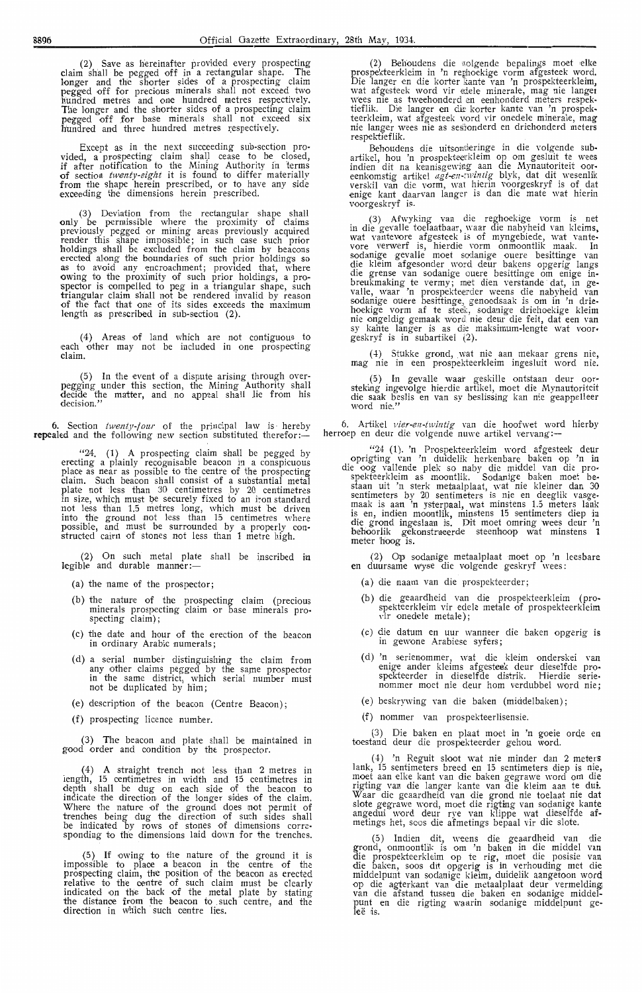(2) Save as hereinafter provided every prospecting claim sh'all be pegged off in a rectangular shape. The longer and the shorter sides of a prospecting claim<br>pegged off for precious minerals shall not exceed two hundr-ed metres and one hundred metres respectively. The longer and the shorter sides of a prospecting claim pegged off for base minerals shall not exceed six hundred and three hundred metres respectively.

Except as in the next succeeding sub-section provided, a prospecting claim shall cease to be closed, if after notification to the Mining Authority in terms **of** section *twenty-eight* it is found to differ materially **from** the shape herein prescribed, or to have any side exceeding the dimensions herein prescribed.

(3) Deviation from the rectangular shape shall only be permissible where the proximity of claims previously pegged or mining areas previously acquired render this shape impossible; in such case such prior holdings shall be excluded from the claim by beacons ,erected along the boundaries of such prior holdings so as to avoid any encroachment; provided that, where owing to the proximity of such prior holdings, a prospector is compel1ed to peg in a triangular shape, such triangular claim shall not be rendered invalid by reason of the fact that one of its sides exceeds the maximum length as prescribed in sub-section (2).

(4) Areas of land which are not contiguous to each other may not be included in one prospecting claim.

(5) In the event of a dispute arising through over-<br>pegging under this section, the Mining Authority shall decide the matter, and no appeal shall lie from his decision."

**6.** Section *twenty-four* of the principal law is hereby **repealed** and the following new section substituted therefor:-

"24. (1) A prospecting claim shall be pegged by erecting a plainly recognisable beacon in a conspicuous place as near as possible to the centre of the prospecting claim. Such beaoon shall consist of a substantial metal plate not less than 30 centimetres by 20 centimetres<br>in size, which must be securely fixed to an iron-standard not less than 1.5 metres long, which must be driven into the ground not less than 15 centimetres where possible, and must be surrounded by a properly con- structed cairn of stones not less than 1 metre high.

(2) On such metal plate shall be inscribed in legible and durable manner:-

- (a) the name of the prospector;
- (b) the nature of the prospecting claim (precious minerals prospecting claim or base minerals prospecting claim) ;
- ( c) the date and hour of the erection of the beacon in ordinary Arabic numerals;
- (d) a serial number distinguishing the claim from any other claims pegged by the same prospector in the same district, which serial number must not be duplicated by him;
- (e) description of the beacon (Centre Beacon);
- (f) prospecting licence number.

(3) The beacon and plate shall be maintained in good order and oondition by the prospector.

( 4) A straight trench not less than 2 metres in length, 15 centimetres in width and 15 centimetres in depth shall be dug on each side of the beacon to indicate the direction, of the longer sides of the claim. Where the nature of the ground does not permit of trenches being dug the direction of such sides shall be indicated by rows of stones of dimensions corre-sponding to the dimensions laid down for the trenches.

{5) If owing to the nature of the ground it is impossible to place a beacon in the centre of the prospecting claim, the position of the beacon as erected relative to the centre of such claim must be clearly indicated on the back of the metal plate by stating the distance from the beacon to . such centre, and the direction in Which such centre lies.

(2) Behoudens die wolgende bepalings moet elke prospekteerkleim in 'n reghoekige vorm afgesteek word. Die !anger en die korter kante van 'n prospekteerkleim, wat afgesteek word vir edele minerale, mag nie langer \\'ees nie as tweehonderd en eenhonderd meters respektieflik. Die !anger en die korter kante van 'n prospekteerkleim, Wat afgesteek vord vir onedele minerale, mag nie langer wees nie as sestonderd en driehonderd meters respektieflik.<br>
Behoudens die uitsonderinge in die volgende sub-

Behoudens die uitsonderinge in die volgende subartikel, hou 'n prospekteerkleim op om gesluit te wees<br>indien dit na kennisgewing aan die Mynautoriteit oor-<br>eenkomstig artikel *agt-en-:wintig* blyk, dat dit wesenlik verskil van die vorm, wat hierin voorgeskryf is of dat enige kant daarvan !anger is dan die mate wat hierin voorgeskryf is.

(3) Afwyking van die reghoekige vorm is net in die gevalle toelaatbaar, waar die nabyheid van kleims, wat vantevore afgesteek is of myngebiede, wat vante-<br>vore verwerf is, hierdie vorm onmoontlik maak. In sodanige gevalle moet sodanige ouere besittinge van<br>die kleim afgesonder word deur bakens opgerig langs die grense van sodanige ouere besittinge om enige inbreukmaking te vermy; met dien verstande dat, in gevalle, waar 'n prospekteerder weens die nabyheid van<br>sodanige ouere besittinge, genoodsaak is om in 'n driehoekige vorm af te steek, sodanige driehoekige kleim nie ongeldig gemaak word nie deur die feit, dat een van sy kahte langer is as die maksimum-lengte wat voor• geskryf is in subartikel (2).

( 4) Stukke grond, wat nie aan mekaar grens nie, mag nie in een prospekteerklerm ingesluit word nie.

(5) In gevalle waat geskille ontstaan deur oor• steking ingevolge hierdie artikel, moet die Mynautoriteit die saak beslis en van sy beslissing kan nie geappelleer word nie."

6. Artikel *vier-en-twintig* van die hoofwet word hierby herroep en deur die volgende nuwe artikel vervang:—

"24 (1). 'n Prospekteerkleim word afgesteek deur oprigting van 'n duidelik herkenbare baken op 'n in die oog vallende plek so naby die middel van die pro• spekteerkleim as moontlik. Sodanige baken moet bestaan uit 'n sterk metaalplaat, wat nie kleiner dan 30 sentimeters by 20 sentimeters is nie en deeglik vasge-<br>maak is aan 'n ysterpaal, wat minstens 1.5 meters lank is en, indien moontlik, minstens 15 sentimeters diep in die grond ingeslaan is. Dit moet omring wees deur 'n behoorlik gekonstrueerde steenhoop wat minstens 1 meter hoog is.

(2) Op sodanige metaalplaat moet op 'n leesbare en duursame wyse die volgende geskryf wees:

- (a) die naam van die prospekteerder;
- (b) die geaardheid van die prospekteerkleim (prospekteerkleim vir edele metale of prospekteerkleim vir onedele metale)
- ( c) die datum en uur wanneer die baken opgerig is in gewone Arabiese syfers;
- (d) 'n serienommer, wat die kleim onderskei van enige ander kleims afgesteek deur diese1fde pro-<br>spekteerder in diese1fde distrik. Hierdie seriespekteerder in dieselfde distrik. Hierdie serie• nommer moet nie deur horn verdubbel word nie;
- (e) beskrywing van die baken (middelbaken);
- (f) nommer van prospekteerlisensie.

(3) Die baken en plaat moet in 'n goeie orde en toestand deur die prospekteerder gehou word.

( 4) 'n Reguit sloot wat nie minder dan 2 meters lank, 15 sentimeters breed en 15 sentimeters diep is nie, moet aan elke kant van die baken gegrawe word om die rigting van die langer kante van die kleim aan te dui. Waar die geaardheid van die grond nie toelaat nie dat slote gegrawe word, moet die rigting van sodanige kante angedui word deur rye van klippe wat dieselfde af metings bet, soos die afmetings bepaal vir die slote.

( 5) Indien dit, weens die geaardheid van die grond, onmoontlik is om 'n baken in die middel van die prospekteerkleim op te rig, moet die posisie van die baken, soos dit opgerig is in verhouding met die niiddelpunt van sodanige kleim, duidelik aangetoon word op die agterkant van die metaalplaat deur vermelding<br>van die afstand tussen die baken en sodanige middelpunt en die rigting waarin sodanige middelpunt ge-<br>leë is,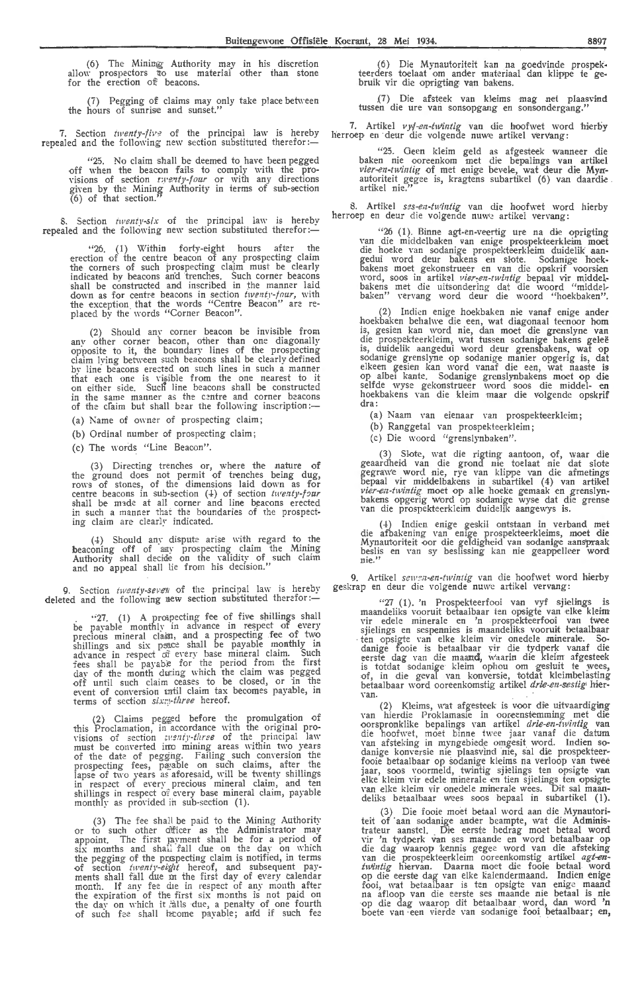(6) The Minimg Authority may in his discretion allow prospectors to use material other than stone for the erection of beacons.

(7) Pegging of claims may only take place between the hours of sunrise and sunset."

7. Section *twenty-five* of the principal law is hereby repealed and the following new section substituted therefor: $\leftarrow$ 

"25. No claim shall be deemed to have been pegged •off when the beacon fails *to* comply with the provisions of section *twenty-four* or with any directions given by the Mining Authority in terms of sub-section  $(6)$  of that section."

8. Section *twenty-six* of the principal law is hereby repealed and the following new section substituted therefor:-

' '26. (1) \X'ithin forty-eight hours after the erection of the centre beacon of any prospecting claim the corners of such prospecting claim must be clearly indicated by beacons and trenches. Such corner beacons shall be constructed and inscribed in the manner laid down as for centre beacons in section *twenty-four*, with the exception that the words "Centre Beacon" are re-<br>placed by the words "Corner Beacon".

(2) Should any corner beacon be invisible from any other corner beacon, other than one diagonally opposite to it, the boundary lines of the prospecting claim lying between such beacons shall be clearly defined by line beacons erected on such lines in such a manner<br>that each one is yisible from the one nearest to it<br>on either side. Such line beacons shall be constructed in the same manner as the centre and corner beacons of the claim but shall bear the following inscription:-

(a) Name of owner of prospecting claim;

(b) Ordinal number of prospecting claim;

(c) The words "Line Beacon".

(3) Directing trenches or, where the nature of the ground does not permit of trenches being dug, rows of stones, of the dimensions laid down as for centre beacons in sub-section (4) of section *twenty-four* shall be m1de at all corner and line beacons erected in such a manner that the boundaries of the prospecting claim are clearly indicated.

(4) Should any dispute arise with regard to the beaconing off of any prospecting claim the Mining<br>Authority shall decide on the validity of such claim<br>and no appeal shall lie from his decision."

9. Section *twenty-seven* of the principal law is hereby deleted and the following new section substituted therefor:

"27. (1) A prospecting fee of five shillings shall be payable monthly in advance in respect of every precious mineral claim, and a prospecting fee of two shillings and six psace shall be payable monthly in<br>advance in respect of every base mineral claim. Such fees shall be payable for the period from the first day of the month during which the claim was pegged off until such claim ceases to be closed, or in the eyent of conversion intil claim tax becomes payable, in terms of section *six;:!-three* hereof.

(2) Claims pegged before the promulgation of this Proclamation, in accordance \\·ith the original pro visions of section tuenty-three of the principal law must be converted ino mining areas within two years<br>of the date of pegging. Failing such conversion the prospecting fees, payable on such claims, after the<br>lapse of two years as aforesaid, will be twenty shillings in respect of every precious mineral claim, and ten<br>shillings in respect o?every base mineral claim, payable monthly as provided in sub-section  $(1)$ .

(3) The fee shall be paid to the Mining Authority<br>or to such other a ificer as the Administrator may<br>appoint. The first 1:avment shall be for a period of  $six$  months and shall fall due on the day on which the pegging of the prespecting claim is notified, in terms<br>of section *twenty-eight* hereof, and subsequent payments shall fall due m the first day of every calendar month. If any fee die in respect of any month after the expiration of the first six months is not paid on the day on which it alls due, a penalty of one fourth of such fee shall become payable; and if such fee

(6) Die Mynautoriteit kan na goedvinde prospekteerders toelaat om ander materiaal dan klippe te gebruik vir die oprigting van bakens.

.(7) Die afsteek van kl,eims mag net plaasvind tussen die ure van sonsopgang en sonsondergang."

7. Artikel vyf-en-twintig van die hoofwet word hierby herroep en deur die volgende nuwe artikel vervang:

''25. Geen kleim geld as afgesteek wanneer die baken nie ooreenkom met die bepalings van artikel vier-en-twintig of met enige bevele, wat deur die Mynautoriteit gegee is, kragtens subartikel (6) van daardie .<br>artikel nie.''

8. Artikel *ses-en-twintig* van die hoofwet word hierby herroep en deur die volgende nuwe artikel vervang:

 $^{426}$  (1). Binne agt-en-veertig ure na die oprigting van die middelbaken van enige prospekteerkleim moet die hoeke van sodanige prospekteerkleim duidelik aangedui word deur bakens en slote. Sodanige hoekbakens moet gekonstrueer en van die opskrif voorsien word, soos in artikel *vier-en-twintig* bepaal vir middelbakens met die uitsondering dat die woord "middelbaken" vervang word deur die woord "hoekbaken".

(2) Indien enige hoekbaken nie vanaf enige ander hoekbaken behalw•e die een, wat diagonaal teenoor horn is, gesien kan word nie, dan moet die grenslyne van<br>die prospekteerkleim, wat tussen sodanige bakens geleë is, duidelik aangedui word deur grensbakens, wat op sodanige grenslyne op sodanige manier opgerig is, dat elkeen gesien kan word vanaf die een, wat naaste is<br>op albei kante. Sodanige grenslynbakens moet op die selfde wyse gekonstrueer word soos die middel- **en**<br>hoekbakens van die kleim maar die volgende opskrif dra:

(a) Naam van eienaar van prospekteerkleim;

(b) Ranggetal van prospekteerkleim;

(c) Die woord "grenslynbaken".

(3) Slote, wat die rigting aantoon, of, waar die geaardheid van die grond nie toelaat nie dat slote gegrawe word nie, rye van klippe van die afmetings bepaal vir middelbakens in subartikel (4) van artikel<br>*vier-en-twintig* moet op alle hoeke gemaak en grenslyn-<br>bakens opgerig word op sodanige wyse dat die grense<br>van die prospekteerkleim duidelik aangewys is.

(+) Indien enige geskil ontstaan in verband met die afbakening van enige prospekteerkieims, moet die Mynautoriteit oor die geldigheid van sodanige aans'jYraak beslis en Yan sy besiissing kan nie geappelleer word **nie."** 

9. Artikel sewen-en-twintig van die hoofwet word hierby geskrap en deur die volgende nuwe artikel vervang:

"27 ( 1 ). 'n Prospekteerfooi van vyf sjielings *is* maandeliks vooruit betaalbaar ten opsigte van dke kleim vir edele minerale en 'n prospekteerfooi van twee<br>sjielings en sespennies is maandeliks vooruit betaalbaar ten opsigte van elke kleim vir onedele minerale. Sodanige fooie is betaalbaar vir die tydperk vanaf die eerste dag van die maand, waarin die kleim afgesteek is totdat sodanige kleim ophou om gesluit te wees, of, in die geval van konversie, totdat kleimbelasting betaalbaar word ooreenkomstig artikel *drie-en-sestig* hier-<br>van.

(2) Kleims, wat afgesteek is voor die uitvaardiging van hierdie Proklamasie in ooreenstemming met die van mercus *-*rootamasie in oorsensemining van artikel *drie-en-tivititig* van die hoofwet, meet binne twee jaar vanaf die datum van afsteking in myngebiede omgesit word. Indien so-<br>danige konversie nie plaasvind nie, sal van afsteking in myngebiede omgesit word. Indien so-<br>danige konversie nie plaasvind nie, sal die prospekteer-<br>fooie betaalbaar op sodanige kleims na verloop van twee<br>jaar, soos voormeld, twintig sjielings ten opsigte van<br>e Van elke kleim vir onedele minerale wees. Dit sal maan-<br>deliks betaalbaar wees soos bepaal in subartikel (1).

(3) Die fooie moet betaal word aan die Mynautoriteit of aan sodanige ander beampte, wat die Administrateur aanstel. Die eerste bedrag moet betaal word Yir 'n tydp,erk van ses maande en word betaalbaar op die dag waarop kennis gegee word van die afsteking<br>van die prospekteerkleim ooreenkomstig artikel *agt-en*twintig hiervan. Daarna moet die fooie betaal word op die eerste dag van elke kalendermaand. Indien enige fooi, wat betaalbaar is ten opsigte van enige maand na afloop van die eerste ses maande nie hetaal is nie ·op die dag waarop dit betaalbaar word, dan word 'n boete van een vierde van sodanige fooi betaalbaar; en,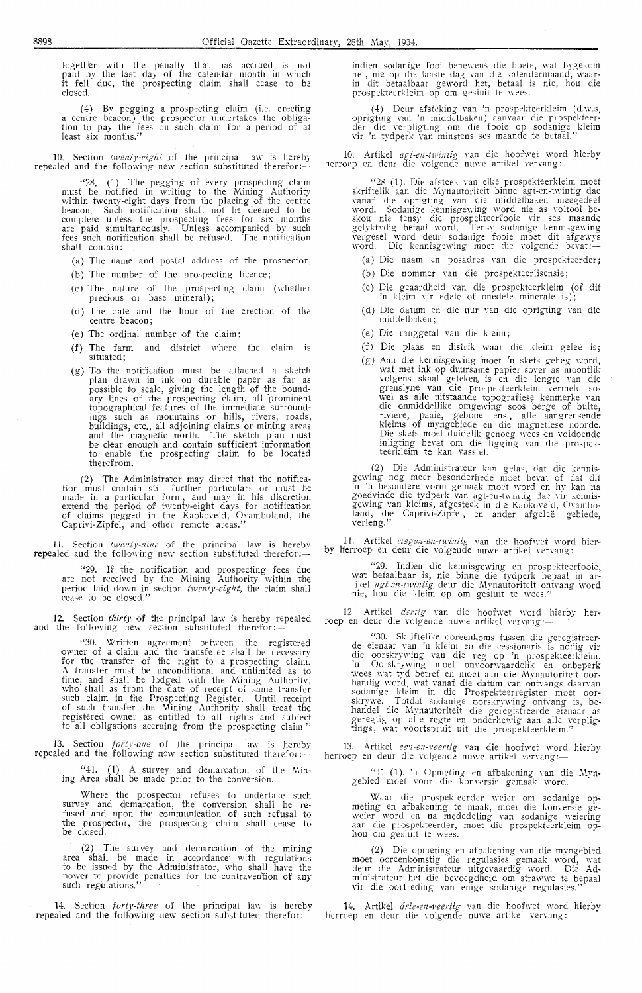together with the penalty that has accrued is not paid by the last day of the calendar month in which it fell due, the prospecting claim shall cease to be closed.

(4) By pegging a prospecting claim (i.e. erecting a centre beacon) the prospector undertakes the obligation to pay the fees on such claim for a period of at least six months."

10. Section *twenty-eight* of the principal law is hereby repealed and the following new section substituted therefor: $-$ 

"28. (1) The pegging of every prospecting claim must be notified in writing to the Mining Authority within twenty-eight days from the placing of the centre beacon. Such notification shall not be deemed to be compl,ete unless the prospecting fees for six months are paid simultaneously. Unless accompanied by such fees such notification shall be refused. The notification shall contain:-

- (a) The name and postal address of the prospector;
- (b) The number of the prospecting licence;
- (c) The nature of the prospecting claim (whether precious or base mineral);
- ( d) The date and the hour of the erection of the centre beaoon;
- ( e) The ordinal number of the claim;
- (f) The farm and district where the claim is situated;
- (g) To the notification must be attached a sketch plan drawn in ink on durable paper as far as<br>possible to scale, giving the length of the boundary lines of the prospecting claim, all "prominent topographical features of the immediate surroundings such as mountains or hills, rivers, roads, buildings, etc., all adjoining claims or mining areas<br>and the magnetic north. The sketch plan must be clear enough and contain sufficient information to enable the prospecting claim *to* be located therefrom.

(2) The Administrator may direct that the notification must contain still further particulars or must be made in a particular form, and may in his discretion extend the period of twenty-eight days for notification of claims pegged in the Kaokoveld, Ovamboland, the Caprivi-Zipfel, and other remote areas."

11. Section *twenty-nine* of the principal law is hereby repealed and the following new section substituted therefor:

"29. If the notification and prospecting foes due are not received by the- Mining Authority within the period laid down in section twenty-eight, the claim shall cease *to* be closed."

12. Section *thirty* of the principal law is hereby repealed and the following new section substituted therefor: $\frac{1}{1}$ 

"30. Written agreement between the registered owner of a claim and the transferee shall be necessary for the transfer of the right *to* a prospecting claim. A transfer must be unconditional and unlimited as to time, and shall be lodged with the Mining Authority,<br>who shall as from the date of receipt of same transfer such claim in the Prospecting Register. Until receipt of such transfer the Mining Authority shall treat the registered owner as entitled to all rights and subject to all obligations accruing from the prospecting claim."

13. Section *forty-one* of the principal law is hereby repealed and the following new section substituted therefor:-

"41. (1) A survey and demarcation of the Mining Area shall be made prior *to* the conversion.

Where the prospector refuses to undertake such survey and demarcation, the conversion shall be refused and upon the communication of such refusal to the prospector, the prospecting claim shall cease to be closed.

(2) The survey and demarcation of the mining area shaL be made in accordance· with regulations to be issued by the Administrator, who shall have the power to provide penalties for the contravention of any such regulations."

14. Section *forty-three* of the principal law is hereby repealed and the following new section substituted therefor: $\ddot{\ }$ 

indien sodanige fooi benewens die boete, wat bygeko**m** het, nie op die laaste dag van die kalendermaand, waar-<br>in dit betaalbaar geword het, betaal is nie, hou die prospekteerkleim op om gesluit te wees.

(4) Deur afsteking van 'n prospekteerkleim (d.w.s. oprigting van 'n middelbaken) aanvaar die prospekteer-<br>der die verpligting om die fooie op sodanige kleim Yir 'n tydperk ,-an minstens ses maande *te* betaal."

10. Artikel *agt-en-twintig* van die hoofwet word hierby herroep en deur die volgende nuwe artikel vervang:

''28 (1). Die afsteek Yan elke prospekteerkleim moet skriftelik aan die Mynautoriteit binne agt-en-twintig dae vanaf die oprigting van die middelbaken meegedeel word. Sodanige kennisgewing word nie as voltooi be-<br>skou nie tensy die prospekteerfooie vir ses maande<br>gelyktydig betaal word. Tensy sodanige kennisgewing<br>vergesel word deur sodanige fooie moet dit afgewys<br>word. Die kennis

- (a) Die naam en posaclres Yan die prospekteerder;
- (b) Die nommer van die prospekteerlisensie;
- (c) Die geaardheid van die prospekteerkleim (of dit 'n kleim Yir edele of onedele minerale is);
- ( d) Die datum en die uur van die oprigting van die middelbaken;
- ( e) Die ranggetal van die kleim;
- (f) Die plaas en distrik waar die kleim gelee is;
- (g) Aan die kennisgewing moet fn skets geheg word, wat met ink op duursame papier sover as moontlik volgens skaal geteken, is en die lengte van die grenslyne van die prospekteerkleim vermeld so-<br>wel as alle uitstaande topografiese kenmerke van die onmiddellike omgewing soos berge of bulte, riviere, paaie, geboue ens., alle aangrensende kleims of myngebiede en die magnetiese noorde.<br>Die skets moet duidelik genoeg wees en voldoende inligting bevat om die ligging van die prospekteerkleim te kan vasstel.

(2) Die Administrateur kan gelas, dat die kennis-<br>gewing nog meer besonderhede moet bevat of dat dit in 'n besondere vorm gemaak moet word en hy kan na<br>goedvinde die tydperk van agt-en-twintig dae vir kennisgewing van kleims, afgesteek in die Kaokoveld, Ovambo• land, die Caprivi-Zipfel, en ander afgeleë gebiede, verleng."

11. Artikel *regen-en-twintig* van die hoofwet word hier-<br>by herroep en deur die volgende nuwe artikel vervang:-

"29. Indien die kennisgewing en prospekteerfooie, wat betaalbaar is, nie binne die tydperk bepaal in ar-<br>tikel *agt-en-twintig* deur die Mynautoriteit ontvang word nie, hou die kleim op om gesluit te wees."

12. Artikel *dertig* van die hoofwet word hierby herroep en deur die volgende nuwe artikel vervang:

''30. Skriftelike ooreenkoms tussen die geregistreer-<br>de eienaar van 'n kleim en die cessionaris is nodig vir die oorskrywing van die reg op 'n prospekteerkleim. 'n Oorskrywing moet onvoorwaardelik en onbeperk<br>wees wat tyd betref en moet aan die Mynautoriteit oor-<br>handig word, wat yanaf die datum yan ontyangs daaryan sodanige kleim in die Prospekteerregister moet oor-<br>skrywe, Totdat sodanige oorskrywing ontvang is, behandel die Mynautoriteit die geregistreerde eienaar as<br>geregtig op alle regte en onderhewig aan alle verplig• tings, wat voortspruit uit die prospekteerkleim."

13. Artikel *een-veertig* van die hoofwet word hierby herroep en deur die volgende nuwe artikel vervang:--

" $41$  (1). 'n Opmeting en afbakening van die Myngebied moet voor die konversie gemaak word. <sup>·</sup>

Waar die prospekteerder weier om sodanige opmeting en afbakening te maak, moet die konversie ge-<br>weier word en na mededeling van sodanige weiering<br>aan die prospekteerder, moet die prospekteerkleim ophou om gesluit te wees.

(2) Die opmeting en afbakening Yan die myngebied moet ooreenkomstig die regulasies gemaak word, wat deur die Administrateur uitgevaardig word. Die Administrateur het die bevoegdheid om strawwe te bepaal vir die oortreding van enige sodanige regulasies."

14. Artikel *drie-en-veertig* van die hoofwet word hierby herroep en deur die volgende nuwe artikel vervang :-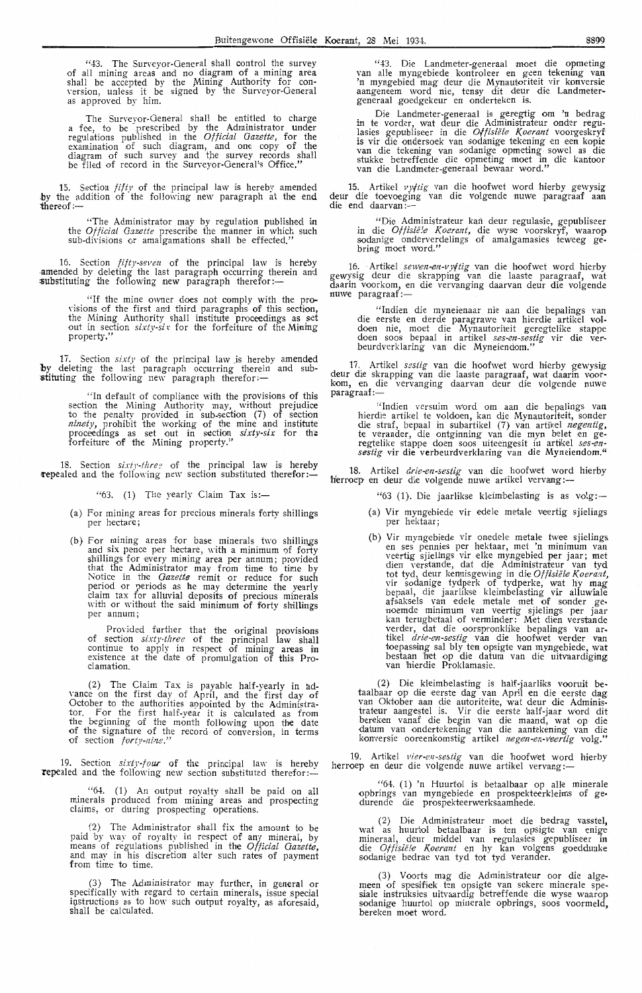';43. The Surveyor-General shall control the survey For all mining areas and no diagram of a mining area shall be accepted by the Mining Authority for con-<br>version, unless it be signed by the Surveyor-General as approved by him.

The Surveyor-General shall be entitled to charge a fee, to be prescribed by the Administrator under regulations published in the *Official Gazette,* for the examination of such diagram, and one copy of the diagram of such survey and the survey records shall be filed of record in the Surveyor-General's Office."

15. Section  $fif(y)$  of the principal law is hereby amended by the addition of the following new paragraph at the end **thereof:-**

> "The Administrator may by regulation published in the Official *Gazette* prescribe the manner in which such sub-divisions or amalgamations shall be effected,"

16. Section *fifty-seven* of the principal law is hereby -amended by deleting the last paragraph occurring therein and substituting the following new paragraph therefor:-

> "If the mine owner does not comply with the provisions of the first and third paragraphs of this section, the Mining Authority shall institute proceedings as set out in section *sixty-sir* for the forfeiture of the Muning property,"

17. Section *sixty* of the principal law is hereby amended by deleting the last paragraph occurring therein and sub-<br>stituting the following new paragraph therefor:-

> "In default of compliance with the provisions of this section the Mining Authority may, without prejudice *to* the penalty provided in sub-section (7) of section *ninety,* prohibit the working of the mine and institute proceedings as set out in section *sixty-six* for the forfeiture of the Mining property."

18. Section *sixty-three* of the principal law is hereby **repealed** and the following new section substituted therefor:-

 $\cdot$  (63. (1) The yearly Claim Tax is:-

- (a) For mining areas for precious minerals forty shillings per hectare;
- (b) For mining areas for base minerals two shillings and six pence per hectare, with a minimum of forty shillings for every mining area per annum; provided that the Administrator may from time to time by Notice in the *Gazette* remit or reduce for such period or periods as he may determine the yearly claim tax for alluvial deposits of precious minerals with or without the said minimum of forty shillings per annum;

Provided further that the original provisions of section *sixty-three* of the principal law shall continue to apply in respect of mining areas in existence at the date of promulgation of this Proclamation.

(2) The Claim Tax is payable half-yearly in ad- vance on the first day of April, and the first day of October to the authorities appointed by the Administrator. For the first half-vear it is calculated as from the beginning of the month following upon the date of the signature of the record of conversion, in terms of section *forty-nine."* 

19. Section *sixty-four* of the principal law is hereby **repealed and the following new section substituted therefor:-**

> "64. (1) An output royalty shall be paid on all minerals produced from mining areas and prospecting claims, or during prospecting operations

> (2) The Administrator shall fix the amount to be paid by way of royaltv in respect of any mineral, by means of regulations published in the *Official Gazette,*  and may in his discretion alter such rates of payment<br>from time to time.

> (3) The Administrator may further, in general or specifically with regard to certain minerals, issue special instructions as to how such output royalty, as aforesaid, shall be calculated

"43. Die Landmeter-generaal moet die opmeting van alle myngebiede . kontroleer en geen tekening **van**  'n myngebied mag deur die Mynautoriteit vir konversie aangeneem word nie, tensy dit deur die Landmetergeneraal .goedgekeur en onderteken is.

Die Landmeter-generaal is geregtig om **'n** bedrag in te vorder, wat deur die Administrateur onder regulasies gepubliseer in die Offisiële Koerant voorgeskryf is vir die ondersoek van sodanige tekening en een kopie<br>'van die tekening van sodanige opmeting sowel as die stukke betreffende die opmeting moet in die kantoor<br>van die Landmeter-generaal bewaar word."

15. Artikel vyftig van die hoofwet word hierby gewysig deur die toevoeging van die volgende nuwe paragraaf aan<br>die end daarvan:---

"Die Administrateur kan deur regulasie, gepubliseer in die *Offisië!e Koerant*, die wyse voorskryf, waarop.<br>sodanige onderverdelings of amalgamasies teweeg gebring moet word."

16. Artikel *sewen-en-vyjtig* van die hoofwet word hierby gewysig deur die skrapping van die laaste paragraaf, wat daarin voorkom, en die vervanging daarvan deur die volgende<br>nuwe paragraaf:—

"lndien die myneienaar nie aan die bepalings van die eerste en derde paragrawe van hierdie artikel voldoen nie, moet die Mynautoriteit geregtelike stappe doen soos bepaal in artikel *ses-en-sestig* vir die ver-<br>beurdverklaring van die Myneiendom."

17. Artikel *sestig* van die hoofwet word hierby gewysig deur die skrapping van die hoofwet word metby gewysig<br>deur die skrapping van die laaste paragraaf, wat daarin voor-<br>kom, en die vervanging daarvan deur die volgende nuwe<br>paragraaf :-

"Indien versuim Word om aan die bepalings van hierdie artikel te voldoen, kan die Mynautoriteit, sonder die straf, bepaal in subartikel (7) van artikel *negentig*, te verander, die ontginning van die myn belet en ge• regtelike stappe doen soos uiteengesit in artikel *ses•en- sestig* vir die verbeurdverklaring van die Myneiendom."

18. Artikel *drie-en-sestig* van die hoofwet word hierby herroep en deur die volgende nuwe artikel vervang:-

"63 (1). Die jaarlikse kleimbelasting is as volg:-

- (a) Vir myngebiede vir edele metale veertig sjielings per hektaar;
- (b) Vir myngebiede vir onedele metale twee sjielings en ses pennies per hektaar, met 'n minimum van veertig sjielings vir elke myngebied per jaar; met dien verstande, dat dje Administrateur van tyd tot tyd, deur kennisgewing in die Offisiële Koerant, vir sodanige tydperk of tydperke, wat hy mag bepaal, die jaarlikse kleimbelasting vir alluw'iale afsaksels van edele metale met of sonder ge• noemde minimum van veertig sjielings per jaar<br>kan terugbetaal of verminder: Met dien verstande verder, dat die oorspronklike bepalings van ar-<br>tikel *drie-en-sestig* van die hoofwet verder van<br>toepassing sal bly ten opsigte van myngebiede, wat bestaan 'bet op die datum van die uitvaardiging van hierdie Proklamasie.

(2) Die kleimbelasting is half-jaarliks vooruit be-<br>taalbaar op die eerste dag van April en die eerste dag taalbaar op die eerste dag van April en die eerste dag van Oktober aan die autoriteite, wat deur die Adminis• trateur aangestel is. Vir die eerste half-jaar word dit<br>bereken vanaf die begin van die maand, wat op die datum van ondertekening van die aantekening van die konversie ooreenkomstig artikel *negen-en-veertig* volg."

19. Artikel *vier-en-sestig* van die hoofwet word hierby herroep en deur die volgende nuwe artikel vervang :-

"64. (1) 'n Huurtol is betaalbaar op alle minerale opbrings van myngebiede en prospekteerkleims of gedurende die prospekteerwerksaamhede.

(2) Die Administrateur moet die bedrag vasstel; wat as huurtol betaalbaar is ten opsigte van enige mineraal, deur middel van regulasies gepubliseer in die Offisiële Koerant en hy kan volgens goeddunke sodanige bedrae van tyd tot tyd verander.

(3) Voorts mag die Administrateur oor die alg,e- meen of spesifiek ten opsigte van sekere minerale spesiale instruksies uitvaardig betreffende die wyse waarop sodanige huurtol op minerale opbrings, soos voormeld bereken moet word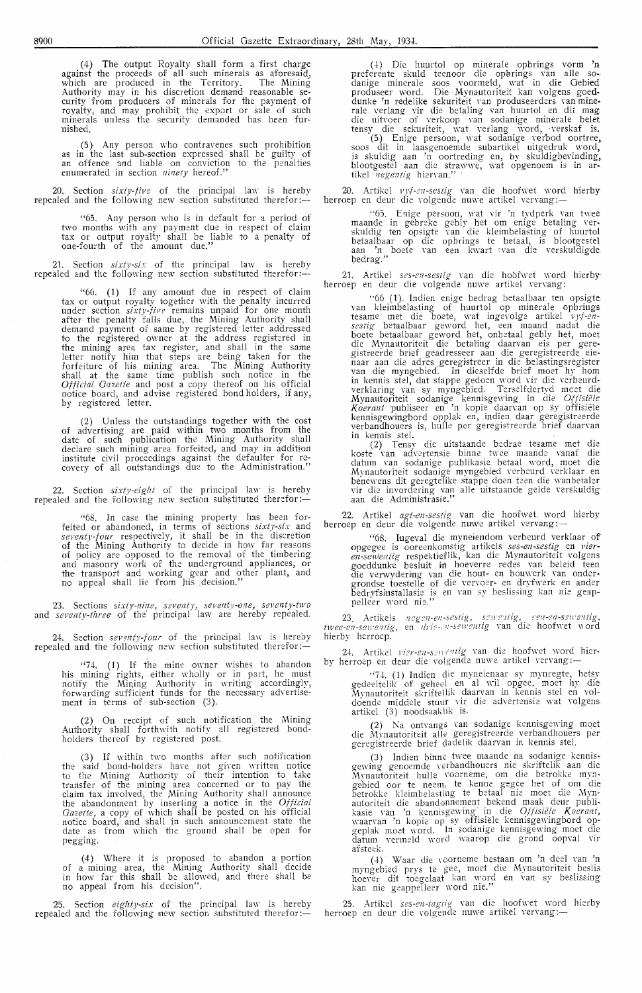(4) The output Royalty shall form a first charge against the proceeds of all such minerals as aforesaid, which are produced in the Territory. The Mining Authority may in his discretion demand reasonable se-<br>curity from producers of minerals for the payment of royalty, and may prohibit the export Or sale of such minerals unless the security demanded has been furnished.

(5) Any person who contravenes such prohibition as in the last sub-section expressed shall be guilty of an offence and liable on conviction to the penalties enumerated in section *ninety* hereof."

20. Section *sixty-five* of the principal law is herebv  $\epsilon$  repealed and the following new section substituted therefor:---

Any person who is in default for a period of two months with any payment due in respect of claim tax or output royalty shall be liable to a penalty of one-fourth of the amount due."

Section *sixty-six* of the principal law is hereby repealed and the following new section substituted therefor:-

"66. ( 1) If any amount due in respect of claim tax or output royalty together with the \_penalty incurred under section *sixty-fiv?* remains unpaid for one month after the penalty falls due, the Mining Authority shall demand payment of same by registered letter addressed to the registered owner at the address registered in the mining area tax register, and shall in the same letter notify him that steps are being taken for the forfeiture of his mining area. The Mining Authority shall at the same time publish such notice in the *Official Oaz.ette* and post a copy thereof on his official notice board, and advise registered bond holders, if any, by registered letter.

(2) Unless the outstandings together with the cost of advertising are paid within two months from the date of such publication the Mining Authority shall declare such mining area forfeited, and may in addition institute civil proceedings against the defaulter for recovery of all outstandings due to the Administration."

22. Section *sixty-eight* of the principal law is hereby repealed and the following new section substituted therefor :-

"68. In case the mining property has been for-feited or abandoned, in terms of sections *sixty-si:.:* and *seventy-four* respectively, it shall be in the discretion of the Mining Authority to decide in how far reasons of policy are opposed to the removal of the timbering and masonry work of the underground appliances, or the transport and working gear and other plant, and no appeal shall lie from his .decision."

23. Sections *sixty-nine, seventy, seventy-one, seventy-two* and *seventy-three* of the· principal law are hereby repealed.

24. Section *seventy-four* of the principal law is hereby repealed and the following new section substituted therefor:-

 $474.$  (1) If the mine owner wishes to abandon his mining rights, either wholly or in part, he must notify the Mining Authority in writing accordingly, forwarding sufficient funds for the necessary advertisement in terms of sub-section (3).

(2) On receipt of such notification the Mining Authority shall forthwith notify all registered bondholders thereof by registered post.

(3) If within two months after such notification the said bond-holders have not given written notice to the Mining Authority of their intention to take transfer of the mining area concerned or to pay the claim tax involved, the Mining Authority shall announce the abandonment by inserting a notice in the *Official Gazette,* a copy of which shali be posted on his official notice board, and shall 'in such announcement state the date as from which the ground shall be open for pegging.

( 4) Where it is proposed to abandon a portion of a mining area, the Mining Authority shall decide in how far this shall be allowed, and there shall be no appeal from his decision".

25. Section *eighty-six* of the principal law is hereby repealed and the following new section substituted therefor:-

(4) Die huurtol op minerale opbrings vorm 'n preferente skuld teenoor die opbrings van alle sodanige minerale soos voormeld, wat in die Gebied produseer word. Die Mynautoriteit kan volgens goeddunke 'n redelike sekuriteit van produseerders van minerale verlang vir die betaling van huurtol en dit mag die uitvoer of verkoop van sodanige minerale belet tensy die sekuriteit, wat verlang word, verskaf is.

(5) Enige persoon, wat sodanige Yerbod oortree, soos dit in laasgenoemde subartikel uitgedruk \\'Ord, is skuldig aan 'n oortreding en, by skuldigbevinding, blootgestel aan die strawwe, wat opgenoem is in artikel *negentig* hierYan."

20. Artikel *vrf-en-sestig* van die hoofwet word hierby herroep en deur die volgende nuwe artikel vervang:—

''65. Enige persoon, wat vir 'n tydperk van t\\·ee maande in gebreke gebly het om enige betaling Yer• skuldig ten opsigte Yan die kleimbelasting of huurtol betaalbaar op die opbrings te betaal, is blootgestel<br>aan 'n boete van een kwart van die verskuldigde bedrag."

21. Artikel *s?s-en-sestig* van die hobfwet word hierby herroep en deur die volgende nuwe artikel vervang:

"66 (1). Indien enige bedrag betaalbaar ten opsigte van kleimbelasting of huurtol op minerale opbrings tesame met die boete, wat ingevolge artikel *vyf-ensestig* betaalbaar geword het, een maand nadat die boete betaalbaar geword het, onbetaal gebly het, moet die Mynautoriteit die betaling daarvan eis per geregistreerde brief geadresseer aan die geregistreerde eienaar aan die adres geregistreer in die belastingsregister van die myngebied·. In dieselfde brief moet hy horn in kennis stel, dat stappe gedoen word vir die verbeurdverklaring van sy myng,ebied. Terselfdertyd *meet* die Mynautoriteit sodanige kennisge\\·ing\_ in die *Offisiele Koerant* publiseer en 'n kopie daan-an op sy offisiele kennisgewingbord opplak en, indien daar geregistreerde verbandhouers is, hulle per geregistreerde brief daan·an in kennis stel.

(2) Tensy die uitstaande bedrae tesame met die koste van advertensie binne twee maande vanaf die datum van sodanige publikasie betaal word, moet die<br>Mynautoriteit sodanige myngebied verbeurd verklaar en benewens dit geregtelike stappe doen teen die wanbetaler vir die inYordering van alle uitstaande gelde verskuldig aan die Administrasie."

22. Artikel *agt-en-sestig* van die hoofwet word hierby herroep en deur die volgende nuwe artikel vervang:

"68. Ingeval die myneiendom verbeurd verklaar of opgegee is ooreenkornstig artikels *sessen-sestig* en *vier* en-sewentig respektieflik, kan die Mynautoriteit volgens goeddunke besluit in hoeverre redes van beleid teen<br>die verwydering van die hout- en bouwerk van ondergrondse toestelle of die vervoer- en dryfwerk en ander<br>bedryfsinstallasie is en van sy beslissing kan nie geappelleer word nie.''

23 Artikels *negen-en-sestig, sewentig, een-en-sewentig*, twee-en-sewentig, en *drie-en-sewentig* van die hoofwet word hierby herroep.

24. Artikel *vier-en-sewentig* van die hoofwet word hier-<br>by herroep en deur die volgende nuwe artikel vervang:—

''74. (1) Indien c\ie myneienaar sy mynregte, hetsy credeeltelik of crehee\ en al wil opgee, moet hy die Mynautoriteit skriftellik daarvan in kennis stel en voldoende middele stuur vir die advertensie wat volgens artikel (3) noodsaaklik is.

(2) Na ontvangs van sodanige kennisgewing moet die Mynautoriteit alle geregistreerde verbandhouers per geregistreerde brief (ladelik daarvan in kennis stel.

(3) Indien binne twee maande na sodanige kennisgewing genoemde verbandhouers nie skriftelik aan die Mynautoriteit hulle voorneme, om die betrokke mynaebied oor te neem, te kenne gegee het of om die betrokke kleimbelasting te betaal nie moet die Mynautoriteit die abandonnement bekend maak deur publikasie van 'n kennisgewing in die *Offisiële Koerant,*<br>waarvan 'n kopie op sy offisiële kennisgewingbord opgeplak moet word. In sodanige kennisgewing moet die datum vermeld word waarop die grond oopval vir afsteck.

(4) Waar die voorneme bestaan om 'n dee! van 'n myngebied prys te *iee,* moet die M.ynautoriteit beslis hoever dit toegelaat kan word en van sy beslissing kan nie geappelleer word nie." ·

25. Artikel *ses-en-tagtig* van die hoofwet word hierby herroep en deur die volgende nuwe artikel vervang :-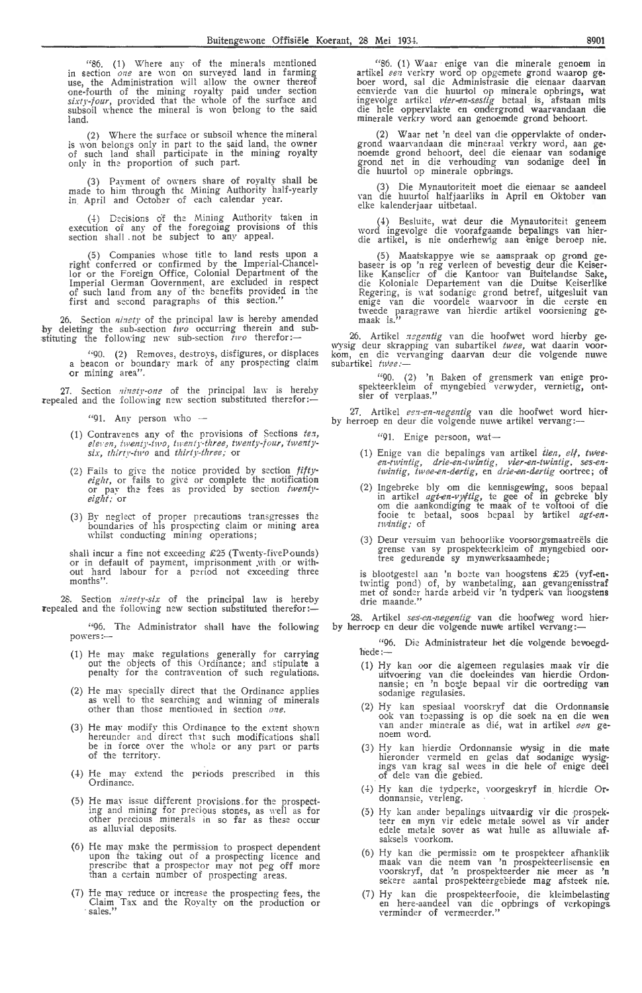"86. ( 1) Where any of the minerals mentioned in section *one* are won on surveyed land in farming use, the Administration will allow the owner thereof one-fourth of the mining royalty paid under section sixty-four, provided that the whole of the surface and subsoil whence the mineral is won belong to the said land.

(2) Where the surface or subsoil whence the mineral is won belongs only in part to the said land, the owner<br>of such land shall participate in the mining royalty only in the proportion of such part.

(3) Payment of owners share of royalty shall be made to him through the: Mining Authority half-yearly in April and October of each calendar year.

(4) Decisions of the Mining Authority taken in execution of any of the foregoing provisions of this section shall . not be subject to any appeal.

(5) Companies \\'hose title to land rests upon a right conferred or confirmed by the Imperial-Chancellor or the Foreign Office, Colonial Department of the Imperial German Government, are excluded in respect<br>of such land from any of the benefits provided in the first and second paragraphs of this section."

26. Section *ninety* of the principal law is hereby amended by deleting the sub-section *tivo* occurring therein and sub-<br>stituting the following new sub-section *two* therefor:-

"90. (2) Remoyes, destroys, disfigures, or displaces a beacon or boundary mark of any prospecting claim or mining area".

27. Section *ninsty-one* of the principal law is hereby repealed and the following new section substituted therefor:-

 $"91.$  Any person who  $-$ 

- (1) Contravenes any of the provisions of Sections *ten*, eleven, twenty-two, twenty-three, twenty-four, twenty*six, thirty-two* and *thirty-three,·* or
- (2) Fails to give the *eight,* or fails to or pay the fees  $eight:$  or notice provided by section *fifty*give or complete the notification as provided by section *twenty-*
- (3) By neglect of proper precautions transgresses the boundaries of his prospecting claim or mining area whilst conducting mining operations;

shall incur a fine not exceeding  $£25$  (Twenty-fivePounds) or in default of payment, imprisonment .\\'ith or without hard labour for a period not exceeding three months".

Section *ninety-six* of the principal law is hereby repealed and the following new section substituted therefor:-

"96. The Administrator shall have the following powers:-

- ( 1) He may make regulations generally for carrying out the objects of this Ordinance; and stipulate a penalty for the contranmion of such regulations.
- (2) He may specially direct that the Ordinance applies as well to the searching and winning of minerals other than those mentioned in section one.
- (3) He may modify this Ordinance to the extent shown hereunder and direct that such modifications shall be in force over the whole or any part or parts of the territory.
- (4) He may extend the periods prescribed in this Ordinance.
- (5) He may issue different pro\'isions . for the prospecting and mining for precious stones, as well as for other precious minerals in so far as these occur<br>as alluvial deposits.
- (6) He may m1ke the permission to prospect dependent upon the taking out of a prospecting licence and prescribe that a prospector may not peg off more than a certain number of prospecting areas.
- (7) He may reduce or increase the prospecting fees, the Claim Tax and the Royalty on the production **or**  sales."

"86. ( 1) Waar enige van die minerale genoem **in**  artikel een verkry word op opgemete grond waarop geboer word, sal die Administrasie die eienaar daarvan<br>eenvierde van die huurtol op minerale opbrings, wat ingevolge artikel *vier-en-sestig* betaal is, afstaan mits die hele oppervlakte en ondergrond waarvandaan die minerale verkry word aan genoemde grond behoort.

(2) Waar net 'n dee! van die pppervlakte of onder• grond waarvandaan die mineraal verkry word, aan genoemde grond behoort, dee! die eienaar van sodanige grond net in die verhouding van sodanige dee! in die huurtol op minerale opbrings.

(3) Die Mynautoriteit moet die eienaar se aandeel van die huurtol halfjaarliks in April en Oktober van<br>elke kalenderjaar uitbetaal.

(4) Besluite, wat deur die Mynautoriteit geneem word ingevolge die voorafgaande bepalings van hier-<br>die artikel, is nie onderhewig aan enige beroep nie.

(5) Maatskappye wie se aanspraak op grond gebaseer is op 'n reg verleen of bevestig deur die Keiserlike Kanselier of die Kantoor van Buitelandse Sake, die Koloniale Departement van die Duitse Keiserlike Regering, is wat sodanige grond betref, uitgesluit van<br>enige van die voordele waarvoor in die eerste en tweede paragrawe van hierdie artikel voorsiening gemaak is."

26. Artikel negentig van die hoofwet word hierby ge-\\')'sig deur skrapping van subartikel *twee,* wat daarin voor• kom, en di,e ven-anging daarvan deur die volgende nuwe kom, en die ver<br>subartikel *twee* :<mark>--</mark>

"90. (2) 'n Baken of grensmerk van enige prospekteerkleim of myngebied verwyder, vernietig, ontsier of verplaas."

27. Artikel *eg:z-en-negentig* van die hoofwet word hier-by herroep en deur die volgende nuwe artikel vervang:-

"91. Enige persoon, wat-

- (1) Enige van die bepalings van artikel tien, elf, twee*en-twintig, drie-en-twintig, vier-en-twintig, ses-en-<br><i>twintig, twee-en-dertig,* en *drie-en-dertig* oortree; o**f**
- (2) Ingebreke bly om die kennisgewing, soos bepaal in artikel  $agt-en-vyftig$ , te gee of in gebreke bly om die aankondiging te maak of te voltooi of die fooie te betaal, soos bepaal by artikel *agt-entwlntig;* of
- (3) Deur versuim van behoorlike voorsorgsmaatreëls die grense van sy prospekteerkleim of myngebied oor. tree gedurende sy mynwerksaamhede ;

is blootgestel aan 'n boete van hoogstens £25 (vyf-entwintig pond) of, by wanbetaling, aan gevangenisstraf met of sonder harde arbeid vir 'n tydperk van hoogstens drie maande."

28. Artikel *ses-en-negentig* van die hoofweg word hier-<br>by herroep en deur die volgende nuwe artikel vervang :-

"96. Die Administrateur het die volgende bevoegdhede :-

- (1) Hy kan oor die algemeen regulasies maak vir die uitvoering van die doeleindes van hierdie Ordonnansie; en 'n boete bepaal vir die oortreding van<br>sodanige regulasies.
- (2) Hy kan spesiaal voorskryf dat die Ordonnansie ook van toepassing is op die soek na en die wen van ander minerale as dié, wat in artikel een ge-<br>noem word.
- (3) Hy kan hierdie Ordonnansie wysig in die mate<br>hieronder vermeld en gelas dat sodanige wysigings van krag sal wees in die hele of enige deel of dele van die gebied.
- (4) Hy kan die tydperke, voorgeskryf in hierdie Ordonnansie, verleng.
- (5) Hy kan ander bepalings uitvaardig vir die prospekteer en myn vir edele metale sowel as vir antler edele metale sover as wat hulle as alluwiale afsaksels voorkom.
- (6) Hy kan die permissie om te prospekteer afhanklik maak van die neem van 'n prospekteerlisensie en<br>voorskryf, dat 'n prospekteerder nie meer as 'n sekere aantal prospekteergebiede mag afsteek nie.
- (7) Hy kan die prospekteerfooie, die kleimbelasting en here-aandeel van die opbrings of verkopings.<br>verminder of vermeerder."